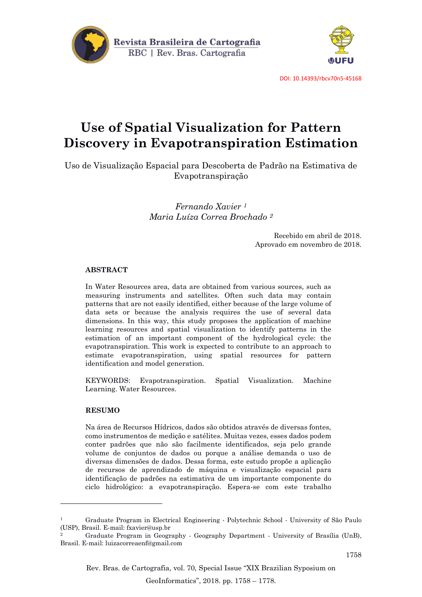



DOI: 10.14393/rbcv70n5-45168

# **Use of Spatial Visualization for Pattern Discovery in Evapotranspiration Estimation**

Uso de Visualização Espacial para Descoberta de Padrão na Estimativa de Evapotranspiração

> *Fernando Xavier <sup>1</sup> Maria Luíza Correa Brochado <sup>2</sup>*

> > Recebido em abril de 2018. Aprovado em novembro de 2018.

# **ABSTRACT**

In Water Resources area, data are obtained from various sources, such as measuring instruments and satellites. Often such data may contain patterns that are not easily identified, either because of the large volume of data sets or because the analysis requires the use of several data dimensions. In this way, this study proposes the application of machine learning resources and spatial visualization to identify patterns in the estimation of an important component of the hydrological cycle: the evapotranspiration. This work is expected to contribute to an approach to estimate evapotranspiration, using spatial resources for pattern identification and model generation.

KEYWORDS: Evapotranspiration. Spatial Visualization. Machine Learning. Water Resources.

# **RESUMO**

**.** 

Na área de Recursos Hídricos, dados são obtidos através de diversas fontes, como instrumentos de medição e satélites. Muitas vezes, esses dados podem conter padrões que não são facilmente identificados, seja pelo grande volume de conjuntos de dados ou porque a análise demanda o uso de diversas dimensões de dados. Dessa forma, este estudo propõe a aplicação de recursos de aprendizado de máquina e visualização espacial para identificação de padrões na estimativa de um importante componente do ciclo hidrológico: a evapotranspiração. Espera-se com este trabalho

<sup>1</sup> Graduate Program in Electrical Engineering - Polytechnic School - University of São Paulo (USP), Brasil. E-mail: fxavier@usp.br

<sup>2</sup> Graduate Program in Geography - Geography Department - University of Brasília (UnB), Brasil. E-mail: luizacorreaenf@gmail.com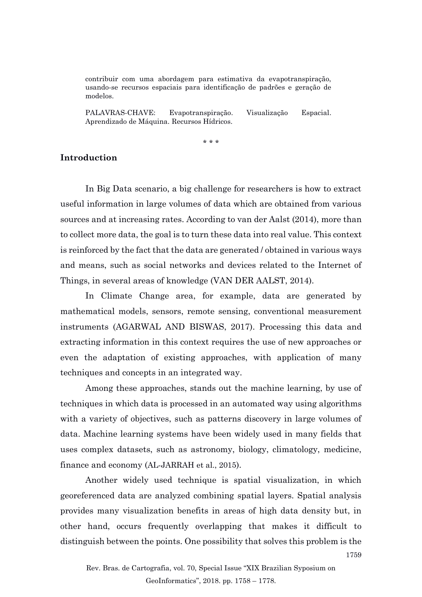contribuir com uma abordagem para estimativa da evapotranspiração, usando-se recursos espaciais para identificação de padrões e geração de modelos.

PALAVRAS-CHAVE: Evapotranspiração. Visualização Espacial. Aprendizado de Máquina. Recursos Hídricos.

\* \* \*

# **Introduction**

In Big Data scenario, a big challenge for researchers is how to extract useful information in large volumes of data which are obtained from various sources and at increasing rates. According to van der Aalst (2014), more than to collect more data, the goal is to turn these data into real value. This context is reinforced by the fact that the data are generated / obtained in various ways and means, such as social networks and devices related to the Internet of Things, in several areas of knowledge (VAN DER AALST, 2014).

In Climate Change area, for example, data are generated by mathematical models, sensors, remote sensing, conventional measurement instruments (AGARWAL AND BISWAS, 2017). Processing this data and extracting information in this context requires the use of new approaches or even the adaptation of existing approaches, with application of many techniques and concepts in an integrated way.

Among these approaches, stands out the machine learning, by use of techniques in which data is processed in an automated way using algorithms with a variety of objectives, such as patterns discovery in large volumes of data. Machine learning systems have been widely used in many fields that uses complex datasets, such as astronomy, biology, climatology, medicine, finance and economy (AL-JARRAH et al., 2015).

Another widely used technique is spatial visualization, in which georeferenced data are analyzed combining spatial layers. Spatial analysis provides many visualization benefits in areas of high data density but, in other hand, occurs frequently overlapping that makes it difficult to distinguish between the points. One possibility that solves this problem is the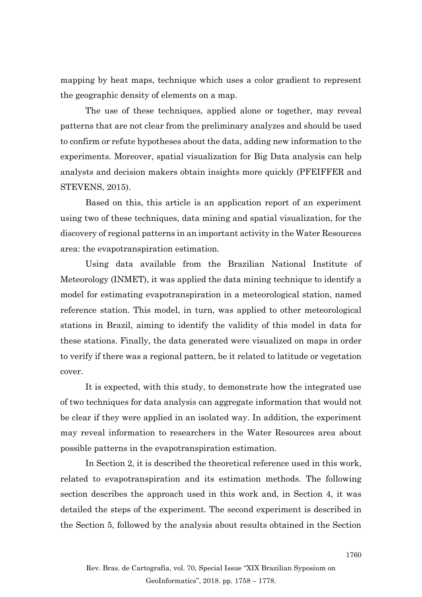mapping by heat maps, technique which uses a color gradient to represent the geographic density of elements on a map.

The use of these techniques, applied alone or together, may reveal patterns that are not clear from the preliminary analyzes and should be used to confirm or refute hypotheses about the data, adding new information to the experiments. Moreover, spatial visualization for Big Data analysis can help analysts and decision makers obtain insights more quickly (PFEIFFER and STEVENS, 2015).

Based on this, this article is an application report of an experiment using two of these techniques, data mining and spatial visualization, for the discovery of regional patterns in an important activity in the Water Resources area: the evapotranspiration estimation.

Using data available from the Brazilian National Institute of Meteorology (INMET), it was applied the data mining technique to identify a model for estimating evapotranspiration in a meteorological station, named reference station. This model, in turn, was applied to other meteorological stations in Brazil, aiming to identify the validity of this model in data for these stations. Finally, the data generated were visualized on maps in order to verify if there was a regional pattern, be it related to latitude or vegetation cover.

It is expected, with this study, to demonstrate how the integrated use of two techniques for data analysis can aggregate information that would not be clear if they were applied in an isolated way. In addition, the experiment may reveal information to researchers in the Water Resources area about possible patterns in the evapotranspiration estimation.

In Section 2, it is described the theoretical reference used in this work, related to evapotranspiration and its estimation methods. The following section describes the approach used in this work and, in Section 4, it was detailed the steps of the experiment. The second experiment is described in the Section 5, followed by the analysis about results obtained in the Section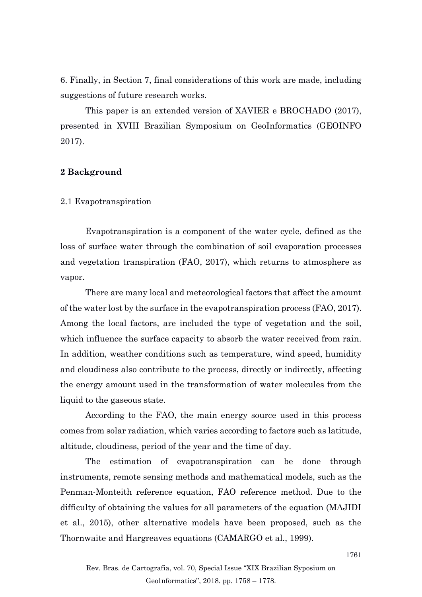6. Finally, in Section 7, final considerations of this work are made, including suggestions of future research works.

This paper is an extended version of XAVIER e BROCHADO (2017), presented in XVIII Brazilian Symposium on GeoInformatics (GEOINFO 2017).

# **2 Background**

#### 2.1 Evapotranspiration

Evapotranspiration is a component of the water cycle, defined as the loss of surface water through the combination of soil evaporation processes and vegetation transpiration (FAO, 2017), which returns to atmosphere as vapor.

There are many local and meteorological factors that affect the amount of the water lost by the surface in the evapotranspiration process (FAO, 2017). Among the local factors, are included the type of vegetation and the soil, which influence the surface capacity to absorb the water received from rain. In addition, weather conditions such as temperature, wind speed, humidity and cloudiness also contribute to the process, directly or indirectly, affecting the energy amount used in the transformation of water molecules from the liquid to the gaseous state.

According to the FAO, the main energy source used in this process comes from solar radiation, which varies according to factors such as latitude, altitude, cloudiness, period of the year and the time of day.

The estimation of evapotranspiration can be done through instruments, remote sensing methods and mathematical models, such as the Penman-Monteith reference equation, FAO reference method. Due to the difficulty of obtaining the values for all parameters of the equation (MAJIDI et al., 2015), other alternative models have been proposed, such as the Thornwaite and Hargreaves equations (CAMARGO et al., 1999).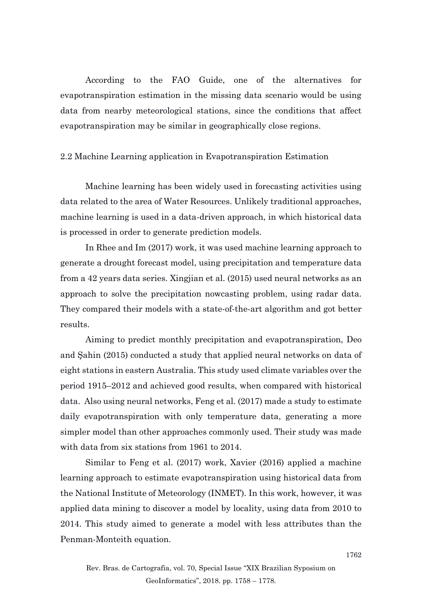According to the FAO Guide, one of the alternatives for evapotranspiration estimation in the missing data scenario would be using data from nearby meteorological stations, since the conditions that affect evapotranspiration may be similar in geographically close regions.

# 2.2 Machine Learning application in Evapotranspiration Estimation

Machine learning has been widely used in forecasting activities using data related to the area of Water Resources. Unlikely traditional approaches, machine learning is used in a data-driven approach, in which historical data is processed in order to generate prediction models.

In Rhee and Im (2017) work, it was used machine learning approach to generate a drought forecast model, using precipitation and temperature data from a 42 years data series. Xingjian et al. (2015) used neural networks as an approach to solve the precipitation nowcasting problem, using radar data. They compared their models with a state-of-the-art algorithm and got better results.

Aiming to predict monthly precipitation and evapotranspiration, Deo and Şahin (2015) conducted a study that applied neural networks on data of eight stations in eastern Australia. This study used climate variables over the period 1915–2012 and achieved good results, when compared with historical data. Also using neural networks, Feng et al. (2017) made a study to estimate daily evapotranspiration with only temperature data, generating a more simpler model than other approaches commonly used. Their study was made with data from six stations from 1961 to 2014.

Similar to Feng et al. (2017) work, Xavier (2016) applied a machine learning approach to estimate evapotranspiration using historical data from the National Institute of Meteorology (INMET). In this work, however, it was applied data mining to discover a model by locality, using data from 2010 to 2014. This study aimed to generate a model with less attributes than the Penman-Monteith equation.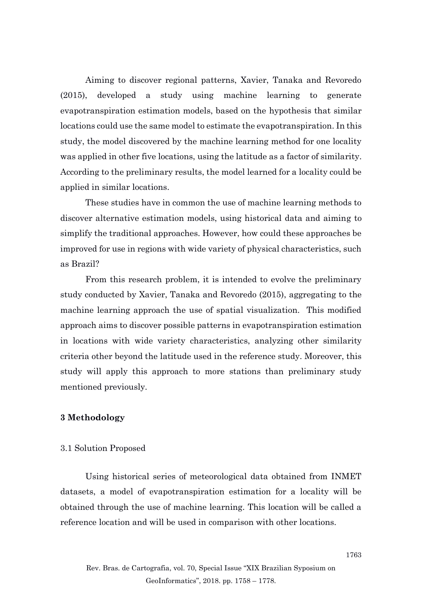Aiming to discover regional patterns, Xavier, Tanaka and Revoredo (2015), developed a study using machine learning to generate evapotranspiration estimation models, based on the hypothesis that similar locations could use the same model to estimate the evapotranspiration. In this study, the model discovered by the machine learning method for one locality was applied in other five locations, using the latitude as a factor of similarity. According to the preliminary results, the model learned for a locality could be applied in similar locations.

These studies have in common the use of machine learning methods to discover alternative estimation models, using historical data and aiming to simplify the traditional approaches. However, how could these approaches be improved for use in regions with wide variety of physical characteristics, such as Brazil?

From this research problem, it is intended to evolve the preliminary study conducted by Xavier, Tanaka and Revoredo (2015), aggregating to the machine learning approach the use of spatial visualization. This modified approach aims to discover possible patterns in evapotranspiration estimation in locations with wide variety characteristics, analyzing other similarity criteria other beyond the latitude used in the reference study. Moreover, this study will apply this approach to more stations than preliminary study mentioned previously.

# **3 Methodology**

## 3.1 Solution Proposed

Using historical series of meteorological data obtained from INMET datasets, a model of evapotranspiration estimation for a locality will be obtained through the use of machine learning. This location will be called a reference location and will be used in comparison with other locations.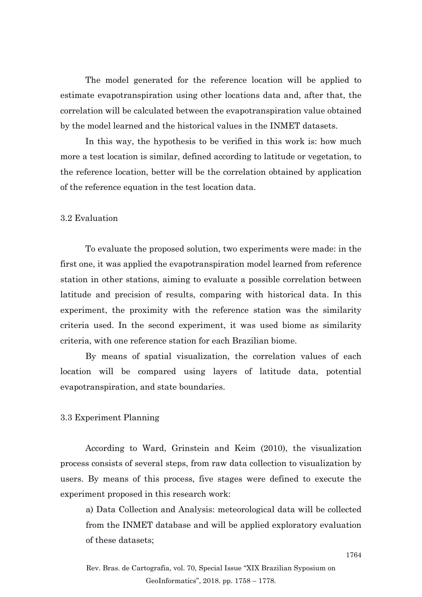The model generated for the reference location will be applied to estimate evapotranspiration using other locations data and, after that, the correlation will be calculated between the evapotranspiration value obtained by the model learned and the historical values in the INMET datasets.

In this way, the hypothesis to be verified in this work is: how much more a test location is similar, defined according to latitude or vegetation, to the reference location, better will be the correlation obtained by application of the reference equation in the test location data.

#### 3.2 Evaluation

To evaluate the proposed solution, two experiments were made: in the first one, it was applied the evapotranspiration model learned from reference station in other stations, aiming to evaluate a possible correlation between latitude and precision of results, comparing with historical data. In this experiment, the proximity with the reference station was the similarity criteria used. In the second experiment, it was used biome as similarity criteria, with one reference station for each Brazilian biome.

By means of spatial visualization, the correlation values of each location will be compared using layers of latitude data, potential evapotranspiration, and state boundaries.

# 3.3 Experiment Planning

According to Ward, Grinstein and Keim (2010), the visualization process consists of several steps, from raw data collection to visualization by users. By means of this process, five stages were defined to execute the experiment proposed in this research work:

a) Data Collection and Analysis: meteorological data will be collected from the INMET database and will be applied exploratory evaluation of these datasets;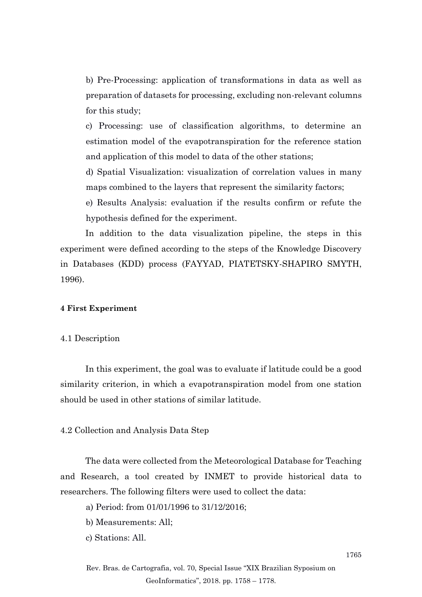b) Pre-Processing: application of transformations in data as well as preparation of datasets for processing, excluding non-relevant columns for this study;

c) Processing: use of classification algorithms, to determine an estimation model of the evapotranspiration for the reference station and application of this model to data of the other stations;

d) Spatial Visualization: visualization of correlation values in many maps combined to the layers that represent the similarity factors;

e) Results Analysis: evaluation if the results confirm or refute the hypothesis defined for the experiment.

In addition to the data visualization pipeline, the steps in this experiment were defined according to the steps of the Knowledge Discovery in Databases (KDD) process (FAYYAD, PIATETSKY-SHAPIRO SMYTH, 1996).

#### **4 First Experiment**

# 4.1 Description

In this experiment, the goal was to evaluate if latitude could be a good similarity criterion, in which a evapotranspiration model from one station should be used in other stations of similar latitude.

## 4.2 Collection and Analysis Data Step

The data were collected from the Meteorological Database for Teaching and Research, a tool created by INMET to provide historical data to researchers. The following filters were used to collect the data:

a) Period: from 01/01/1996 to 31/12/2016;

- b) Measurements: All;
- c) Stations: All.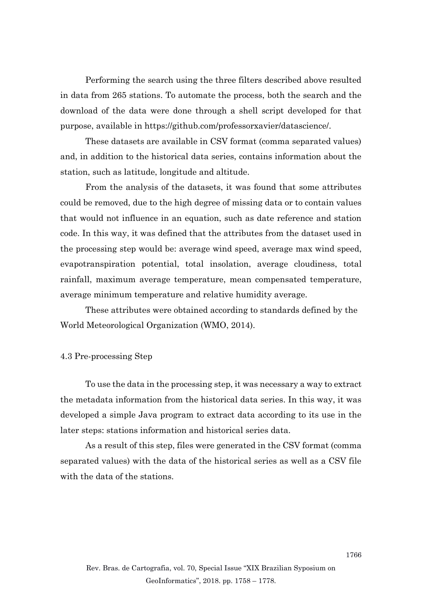Performing the search using the three filters described above resulted in data from 265 stations. To automate the process, both the search and the download of the data were done through a shell script developed for that purpose, available in https://github.com/professorxavier/datascience/.

These datasets are available in CSV format (comma separated values) and, in addition to the historical data series, contains information about the station, such as latitude, longitude and altitude.

From the analysis of the datasets, it was found that some attributes could be removed, due to the high degree of missing data or to contain values that would not influence in an equation, such as date reference and station code. In this way, it was defined that the attributes from the dataset used in the processing step would be: average wind speed, average max wind speed, evapotranspiration potential, total insolation, average cloudiness, total rainfall, maximum average temperature, mean compensated temperature, average minimum temperature and relative humidity average.

These attributes were obtained according to standards defined by the World Meteorological Organization (WMO, 2014).

#### 4.3 Pre-processing Step

To use the data in the processing step, it was necessary a way to extract the metadata information from the historical data series. In this way, it was developed a simple Java program to extract data according to its use in the later steps: stations information and historical series data.

As a result of this step, files were generated in the CSV format (comma separated values) with the data of the historical series as well as a CSV file with the data of the stations.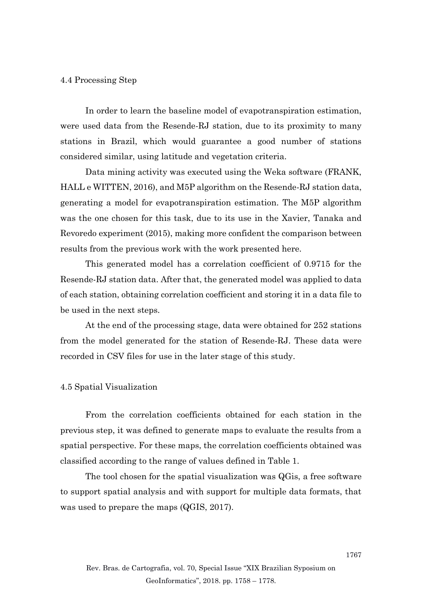## 4.4 Processing Step

In order to learn the baseline model of evapotranspiration estimation, were used data from the Resende-RJ station, due to its proximity to many stations in Brazil, which would guarantee a good number of stations considered similar, using latitude and vegetation criteria.

Data mining activity was executed using the Weka software (FRANK, HALL e WITTEN, 2016), and M5P algorithm on the Resende-RJ station data, generating a model for evapotranspiration estimation. The M5P algorithm was the one chosen for this task, due to its use in the Xavier, Tanaka and Revoredo experiment (2015), making more confident the comparison between results from the previous work with the work presented here.

This generated model has a correlation coefficient of 0.9715 for the Resende-RJ station data. After that, the generated model was applied to data of each station, obtaining correlation coefficient and storing it in a data file to be used in the next steps.

At the end of the processing stage, data were obtained for 252 stations from the model generated for the station of Resende-RJ. These data were recorded in CSV files for use in the later stage of this study.

# 4.5 Spatial Visualization

From the correlation coefficients obtained for each station in the previous step, it was defined to generate maps to evaluate the results from a spatial perspective. For these maps, the correlation coefficients obtained was classified according to the range of values defined in Table 1.

The tool chosen for the spatial visualization was QGis, a free software to support spatial analysis and with support for multiple data formats, that was used to prepare the maps (QGIS, 2017).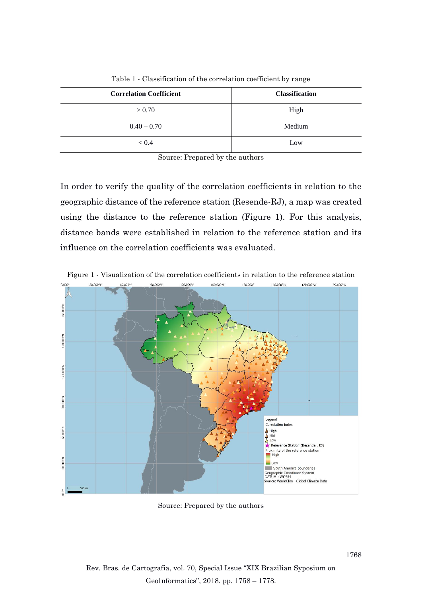| <b>Correlation Coefficient</b> | <b>Classification</b> |
|--------------------------------|-----------------------|
| > 0.70                         | High                  |
| $0.40 - 0.70$                  | Medium                |
| < 0.4                          | Low                   |

Table 1 - Classification of the correlation coefficient by range

Source: Prepared by the authors

In order to verify the quality of the correlation coefficients in relation to the geographic distance of the reference station (Resende-RJ), a map was created using the distance to the reference station (Figure 1). For this analysis, distance bands were established in relation to the reference station and its influence on the correlation coefficients was evaluated.





Source: Prepared by the authors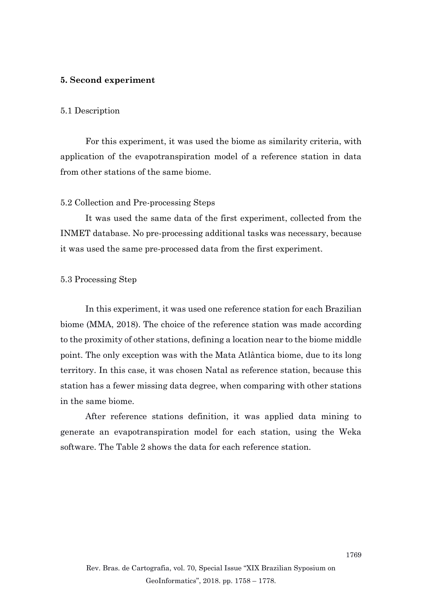# **5. Second experiment**

#### 5.1 Description

For this experiment, it was used the biome as similarity criteria, with application of the evapotranspiration model of a reference station in data from other stations of the same biome.

## 5.2 Collection and Pre-processing Steps

It was used the same data of the first experiment, collected from the INMET database. No pre-processing additional tasks was necessary, because it was used the same pre-processed data from the first experiment.

## 5.3 Processing Step

In this experiment, it was used one reference station for each Brazilian biome (MMA, 2018). The choice of the reference station was made according to the proximity of other stations, defining a location near to the biome middle point. The only exception was with the Mata Atlântica biome, due to its long territory. In this case, it was chosen Natal as reference station, because this station has a fewer missing data degree, when comparing with other stations in the same biome.

After reference stations definition, it was applied data mining to generate an evapotranspiration model for each station, using the Weka software. The Table 2 shows the data for each reference station.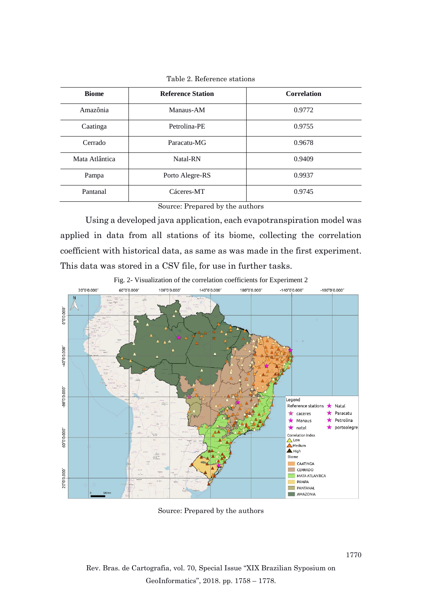| <b>Biome</b>   | <b>Reference Station</b> | <b>Correlation</b> |
|----------------|--------------------------|--------------------|
| Amazônia       | Manaus-AM                | 0.9772             |
| Caatinga       | Petrolina-PE             | 0.9755             |
| Cerrado        | Paracatu-MG              | 0.9678             |
| Mata Atlântica | Natal-RN                 | 0.9409             |
| Pampa          | Porto Alegre-RS          | 0.9937             |
| Pantanal       | Cáceres-MT               | 0.9745             |

Table 2. Reference stations

Source: Prepared by the authors

Using a developed java application, each evapotranspiration model was applied in data from all stations of its biome, collecting the correlation coefficient with historical data, as same as was made in the first experiment. This data was stored in a CSV file, for use in further tasks.



Fig. 2- Visualization of the correlation coefficients for Experiment 2

Source: Prepared by the authors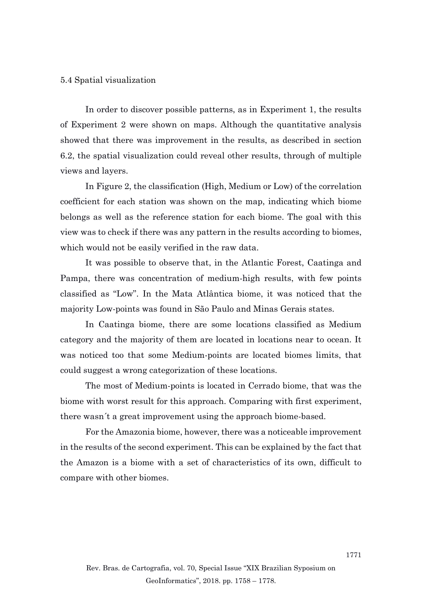#### 5.4 Spatial visualization

In order to discover possible patterns, as in Experiment 1, the results of Experiment 2 were shown on maps. Although the quantitative analysis showed that there was improvement in the results, as described in section 6.2, the spatial visualization could reveal other results, through of multiple views and layers.

In Figure 2, the classification (High, Medium or Low) of the correlation coefficient for each station was shown on the map, indicating which biome belongs as well as the reference station for each biome. The goal with this view was to check if there was any pattern in the results according to biomes, which would not be easily verified in the raw data.

It was possible to observe that, in the Atlantic Forest, Caatinga and Pampa, there was concentration of medium-high results, with few points classified as "Low". In the Mata Atlântica biome, it was noticed that the majority Low-points was found in São Paulo and Minas Gerais states.

In Caatinga biome, there are some locations classified as Medium category and the majority of them are located in locations near to ocean. It was noticed too that some Medium-points are located biomes limits, that could suggest a wrong categorization of these locations.

The most of Medium-points is located in Cerrado biome, that was the biome with worst result for this approach. Comparing with first experiment, there wasn´t a great improvement using the approach biome-based.

For the Amazonia biome, however, there was a noticeable improvement in the results of the second experiment. This can be explained by the fact that the Amazon is a biome with a set of characteristics of its own, difficult to compare with other biomes.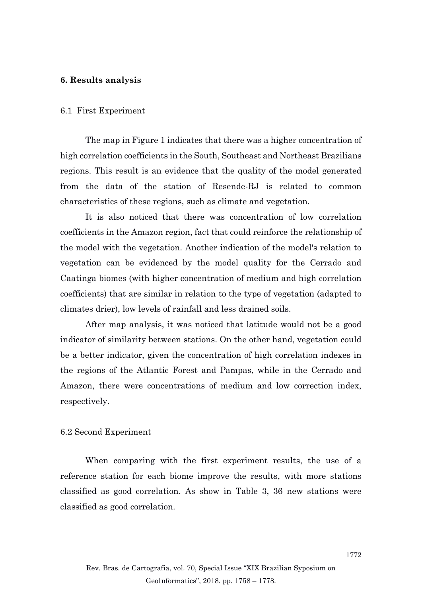# **6. Results analysis**

#### 6.1 First Experiment

The map in Figure 1 indicates that there was a higher concentration of high correlation coefficients in the South, Southeast and Northeast Brazilians regions. This result is an evidence that the quality of the model generated from the data of the station of Resende-RJ is related to common characteristics of these regions, such as climate and vegetation.

It is also noticed that there was concentration of low correlation coefficients in the Amazon region, fact that could reinforce the relationship of the model with the vegetation. Another indication of the model's relation to vegetation can be evidenced by the model quality for the Cerrado and Caatinga biomes (with higher concentration of medium and high correlation coefficients) that are similar in relation to the type of vegetation (adapted to climates drier), low levels of rainfall and less drained soils.

After map analysis, it was noticed that latitude would not be a good indicator of similarity between stations. On the other hand, vegetation could be a better indicator, given the concentration of high correlation indexes in the regions of the Atlantic Forest and Pampas, while in the Cerrado and Amazon, there were concentrations of medium and low correction index, respectively.

# 6.2 Second Experiment

When comparing with the first experiment results, the use of a reference station for each biome improve the results, with more stations classified as good correlation. As show in Table 3, 36 new stations were classified as good correlation.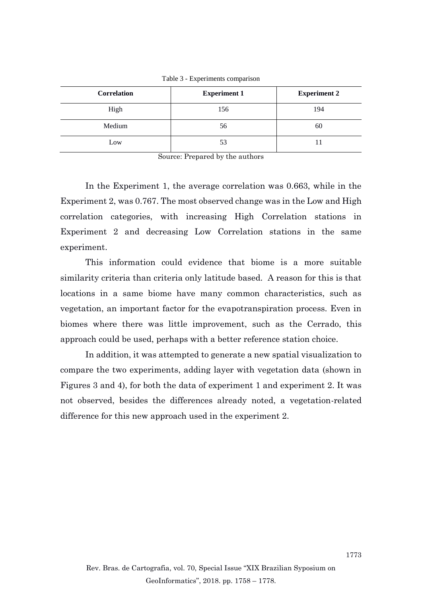| Correlation | <b>Experiment 1</b> | <b>Experiment 2</b> |
|-------------|---------------------|---------------------|
| High        | 156                 | 194                 |
| Medium      | 56                  | 60                  |
| Low         | 53                  |                     |

Table 3 - Experiments comparison

Source: Prepared by the authors

In the Experiment 1, the average correlation was 0.663, while in the Experiment 2, was 0.767. The most observed change was in the Low and High correlation categories, with increasing High Correlation stations in Experiment 2 and decreasing Low Correlation stations in the same experiment.

This information could evidence that biome is a more suitable similarity criteria than criteria only latitude based. A reason for this is that locations in a same biome have many common characteristics, such as vegetation, an important factor for the evapotranspiration process. Even in biomes where there was little improvement, such as the Cerrado, this approach could be used, perhaps with a better reference station choice.

In addition, it was attempted to generate a new spatial visualization to compare the two experiments, adding layer with vegetation data (shown in Figures 3 and 4), for both the data of experiment 1 and experiment 2. It was not observed, besides the differences already noted, a vegetation-related difference for this new approach used in the experiment 2.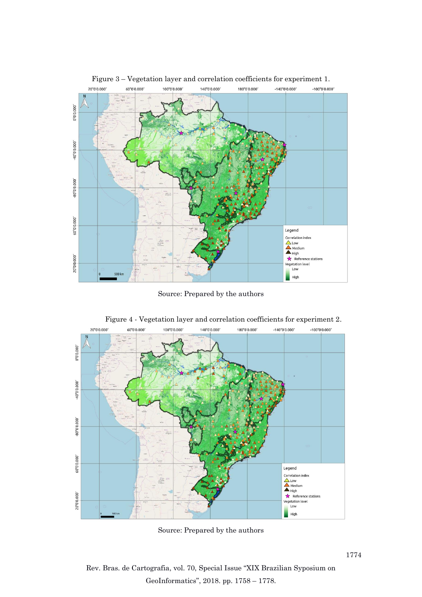

Figure 3 – Vegetation layer and correlation coefficients for experiment 1.

Source: Prepared by the authors



Figure 4 - Vegetation layer and correlation coefficients for experiment 2.

Source: Prepared by the authors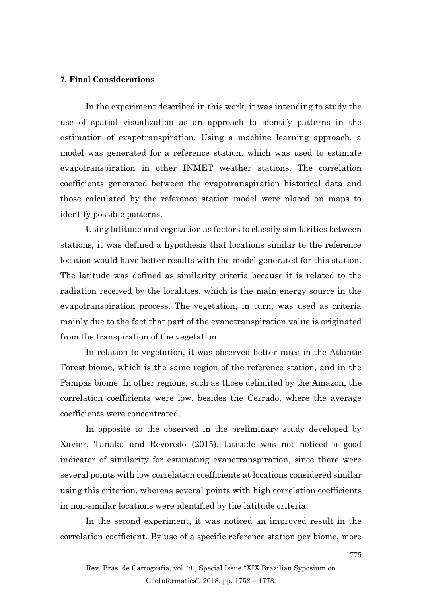#### **7. Final Considerations**

In the experiment described in this work, it was intending to study the use of spatial visualization as an approach to identify patterns in the estimation of evapotranspiration. Using a machine learning approach, a model was generated for a reference station, which was used to estimate evapotranspiration in other INMET weather stations. The correlation coefficients generated between the evapotranspiration historical data and those calculated by the reference station model were placed on maps to identify possible patterns.

Using latitude and vegetation as factors to classify similarities between stations, it was defined a hypothesis that locations similar to the reference location would have better results with the model generated for this station. The latitude was defined as similarity criteria because it is related to the radiation received by the localities, which is the main energy source in the evapotranspiration process. The vegetation, in turn, was used as criteria mainly due to the fact that part of the evapotranspiration value is originated from the transpiration of the vegetation.

In relation to vegetation, it was observed better rates in the Atlantic Forest biome, which is the same region of the reference station, and in the Pampas biome. In other regions, such as those delimited by the Amazon, the correlation coefficients were low, besides the Cerrado, where the average coefficients were concentrated.

In opposite to the observed in the preliminary study developed by Xavier, Tanaka and Revoredo (2015), latitude was not noticed a good indicator of similarity for estimating evapotranspiration, since there were several points with low correlation coefficients at locations considered similar using this criterion, whereas several points with high correlation coefficients in non-similar locations were identified by the latitude criteria.

In the second experiment, it was noticed an improved result in the correlation coefficient. By use of a specific reference station per biome, more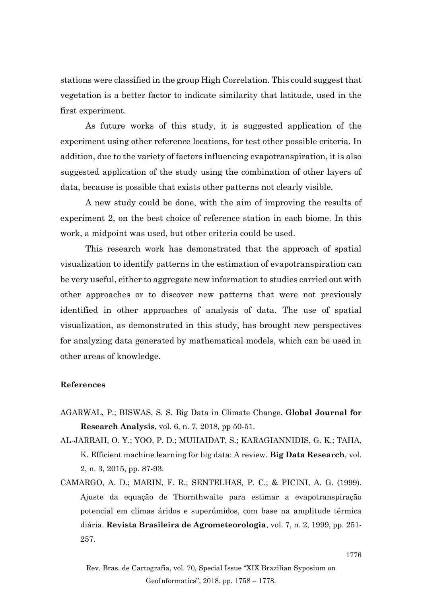stations were classified in the group High Correlation. This could suggest that vegetation is a better factor to indicate similarity that latitude, used in the first experiment.

As future works of this study, it is suggested application of the experiment using other reference locations, for test other possible criteria. In addition, due to the variety of factors influencing evapotranspiration, it is also suggested application of the study using the combination of other layers of data, because is possible that exists other patterns not clearly visible.

A new study could be done, with the aim of improving the results of experiment 2, on the best choice of reference station in each biome. In this work, a midpoint was used, but other criteria could be used.

This research work has demonstrated that the approach of spatial visualization to identify patterns in the estimation of evapotranspiration can be very useful, either to aggregate new information to studies carried out with other approaches or to discover new patterns that were not previously identified in other approaches of analysis of data. The use of spatial visualization, as demonstrated in this study, has brought new perspectives for analyzing data generated by mathematical models, which can be used in other areas of knowledge.

# **References**

- AGARWAL, P.; BISWAS, S. S. Big Data in Climate Change. **Global Journal for Research Analysis**, vol. 6, n. 7, 2018, pp 50-51.
- AL-JARRAH, O. Y.; YOO, P. D.; MUHAIDAT, S.; KARAGIANNIDIS, G. K.; TAHA, K. Efficient machine learning for big data: A review. **Big Data Research**, vol. 2, n. 3, 2015, pp. 87-93.
- CAMARGO, A. D.; MARIN, F. R.; SENTELHAS, P. C.; & PICINI, A. G. (1999). Ajuste da equação de Thornthwaite para estimar a evapotranspiração potencial em climas áridos e superúmidos, com base na amplitude térmica diária. **Revista Brasileira de Agrometeorologia**, vol. 7, n. 2, 1999, pp. 251- 257.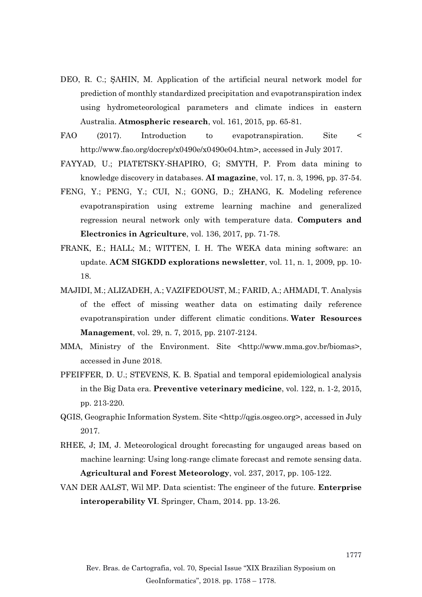- DEO, R. C.; ŞAHIN, M. Application of the artificial neural network model for prediction of monthly standardized precipitation and evapotranspiration index using hydrometeorological parameters and climate indices in eastern Australia. **Atmospheric research**, vol. 161, 2015, pp. 65-81.
- FAO (2017). Introduction to evapotranspiration. Site < http://www.fao.org/docrep/x0490e/x0490e04.htm>, accessed in July 2017.
- FAYYAD, U.; PIATETSKY-SHAPIRO, G; SMYTH, P. From data mining to knowledge discovery in databases. **AI magazine**, vol. 17, n. 3, 1996, pp. 37-54.
- FENG, Y.; PENG, Y.; CUI, N.; GONG, D.; ZHANG, K. Modeling reference evapotranspiration using extreme learning machine and generalized regression neural network only with temperature data. **Computers and Electronics in Agriculture**, vol. 136, 2017, pp. 71-78.
- FRANK, E.; HALL; M.; WITTEN, I. H. The WEKA data mining software: an update. **ACM SIGKDD explorations newsletter**, vol. 11, n. 1, 2009, pp. 10- 18.
- MAJIDI, M.; ALIZADEH, A.; VAZIFEDOUST, M.; FARID, A.; AHMADI, T. Analysis of the effect of missing weather data on estimating daily reference evapotranspiration under different climatic conditions. **Water Resources Management**, vol. 29, n. 7, 2015, pp. 2107-2124.
- MMA, Ministry of the Environment. Site <http://www.mma.gov.br/biomas>, accessed in June 2018.
- PFEIFFER, D. U.; STEVENS, K. B. Spatial and temporal epidemiological analysis in the Big Data era. **Preventive veterinary medicine**, vol. 122, n. 1-2, 2015, pp. 213-220.
- QGIS, Geographic Information System. Site <http://qgis.osgeo.org>, accessed in July 2017.
- RHEE, J; IM, J. Meteorological drought forecasting for ungauged areas based on machine learning: Using long-range climate forecast and remote sensing data. **Agricultural and Forest Meteorology**, vol. 237, 2017, pp. 105-122.
- VAN DER AALST, Wil MP. Data scientist: The engineer of the future. **Enterprise interoperability VI**. Springer, Cham, 2014. pp. 13-26.